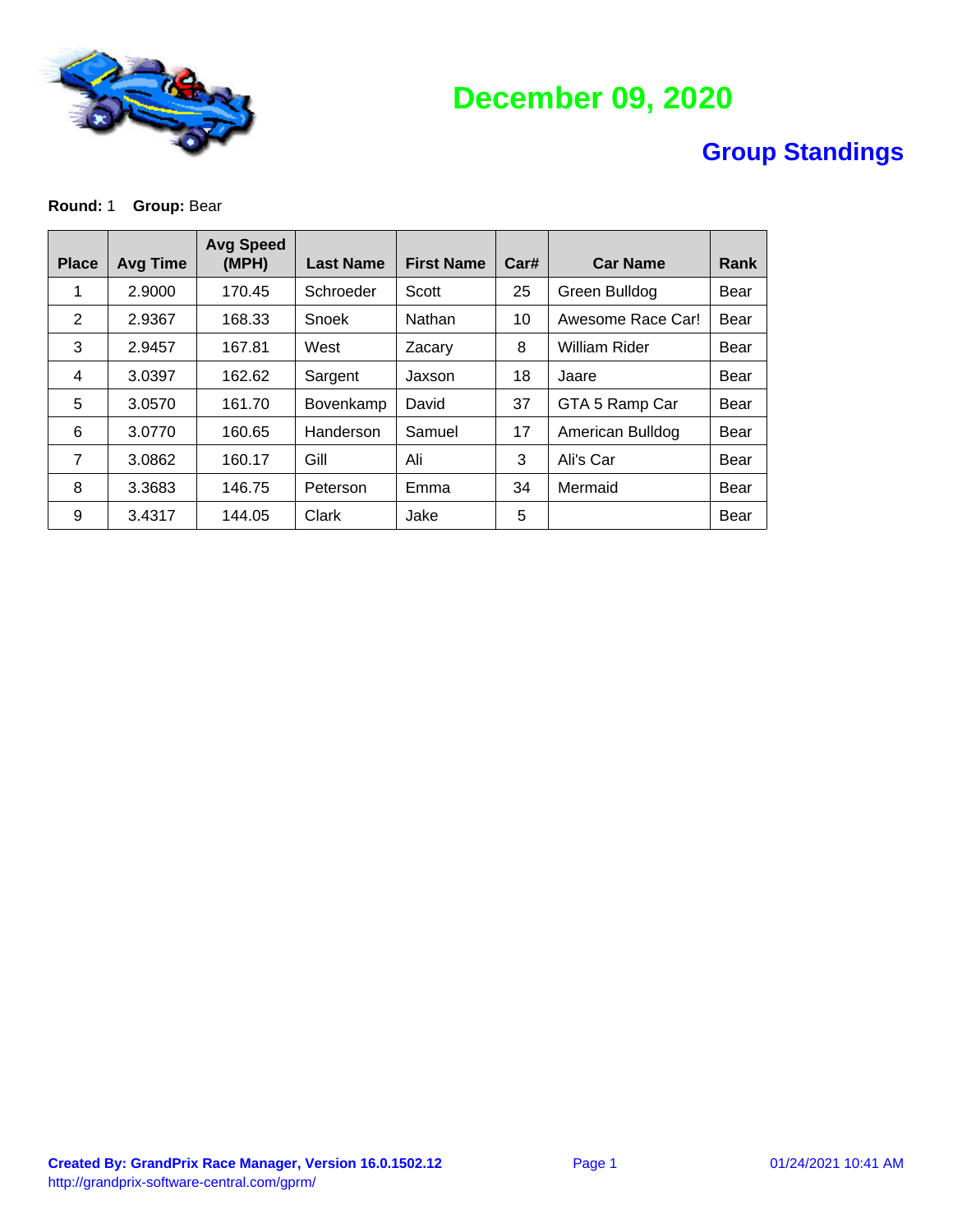

# **December 09, 2020**

### **Group Standings**

#### **Round: 1 Group: Bear**

| <b>Place</b>   | <b>Avg Time</b> | <b>Avg Speed</b><br>(MPH) | <b>Last Name</b> | <b>First Name</b> | Car# | <b>Car Name</b>      | Rank |
|----------------|-----------------|---------------------------|------------------|-------------------|------|----------------------|------|
| 1              | 2.9000          | 170.45                    | Schroeder        | Scott             | 25   | Green Bulldog        | Bear |
| $\overline{2}$ | 2.9367          | 168.33                    | Snoek            | Nathan            | 10   | Awesome Race Car!    | Bear |
| 3              | 2.9457          | 167.81                    | West             | Zacary            | 8    | <b>William Rider</b> | Bear |
| $\overline{4}$ | 3.0397          | 162.62                    | Sargent          | Jaxson            | 18   | Jaare                | Bear |
| 5              | 3.0570          | 161.70                    | Bovenkamp        | David             | 37   | GTA 5 Ramp Car       | Bear |
| 6              | 3.0770          | 160.65                    | Handerson        | Samuel            | 17   | American Bulldog     | Bear |
| 7              | 3.0862          | 160.17                    | Gill             | Ali               | 3    | Ali's Car            | Bear |
| 8              | 3.3683          | 146.75                    | Peterson         | Emma              | 34   | Mermaid              | Bear |
| 9              | 3.4317          | 144.05                    | Clark            | Jake              | 5    |                      | Bear |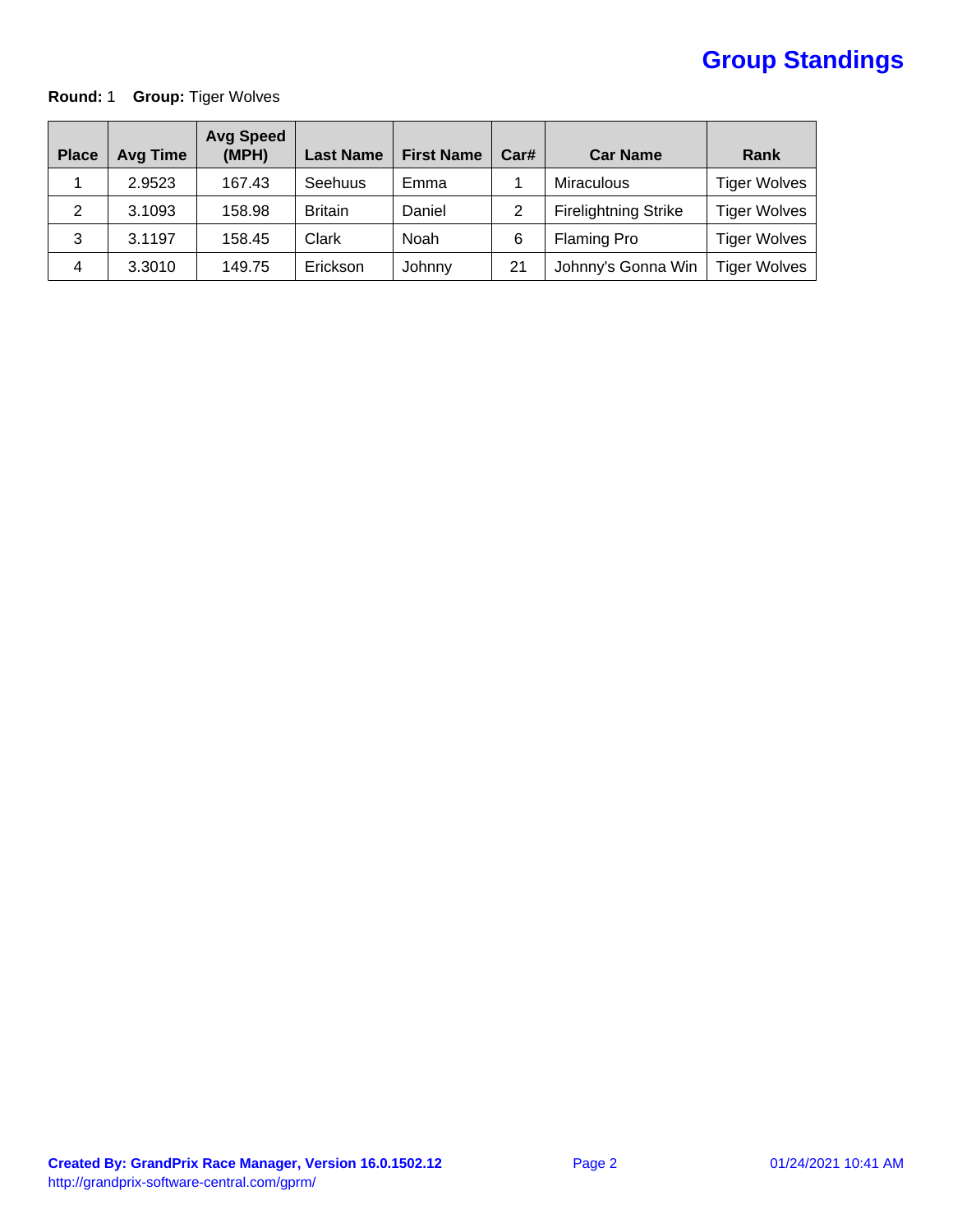# **Group Standings**

### **Round: 1 Group: Tiger Wolves**

| <b>Place</b> | <b>Avg Time</b> | <b>Avg Speed</b><br>(MPH) | <b>Last Name</b> | <b>First Name</b> | Car# | <b>Car Name</b>             | Rank                |
|--------------|-----------------|---------------------------|------------------|-------------------|------|-----------------------------|---------------------|
|              | 2.9523          | 167.43                    | Seehuus          | Emma              |      | <b>Miraculous</b>           | <b>Tiger Wolves</b> |
| 2            | 3.1093          | 158.98                    | <b>Britain</b>   | Daniel            | 2    | <b>Firelightning Strike</b> | <b>Tiger Wolves</b> |
| 3            | 3.1197          | 158.45                    | Clark            | Noah              | 6    | <b>Flaming Pro</b>          | <b>Tiger Wolves</b> |
| 4            | 3.3010          | 149.75                    | Erickson         | Johnny            | 21   | Johnny's Gonna Win          | <b>Tiger Wolves</b> |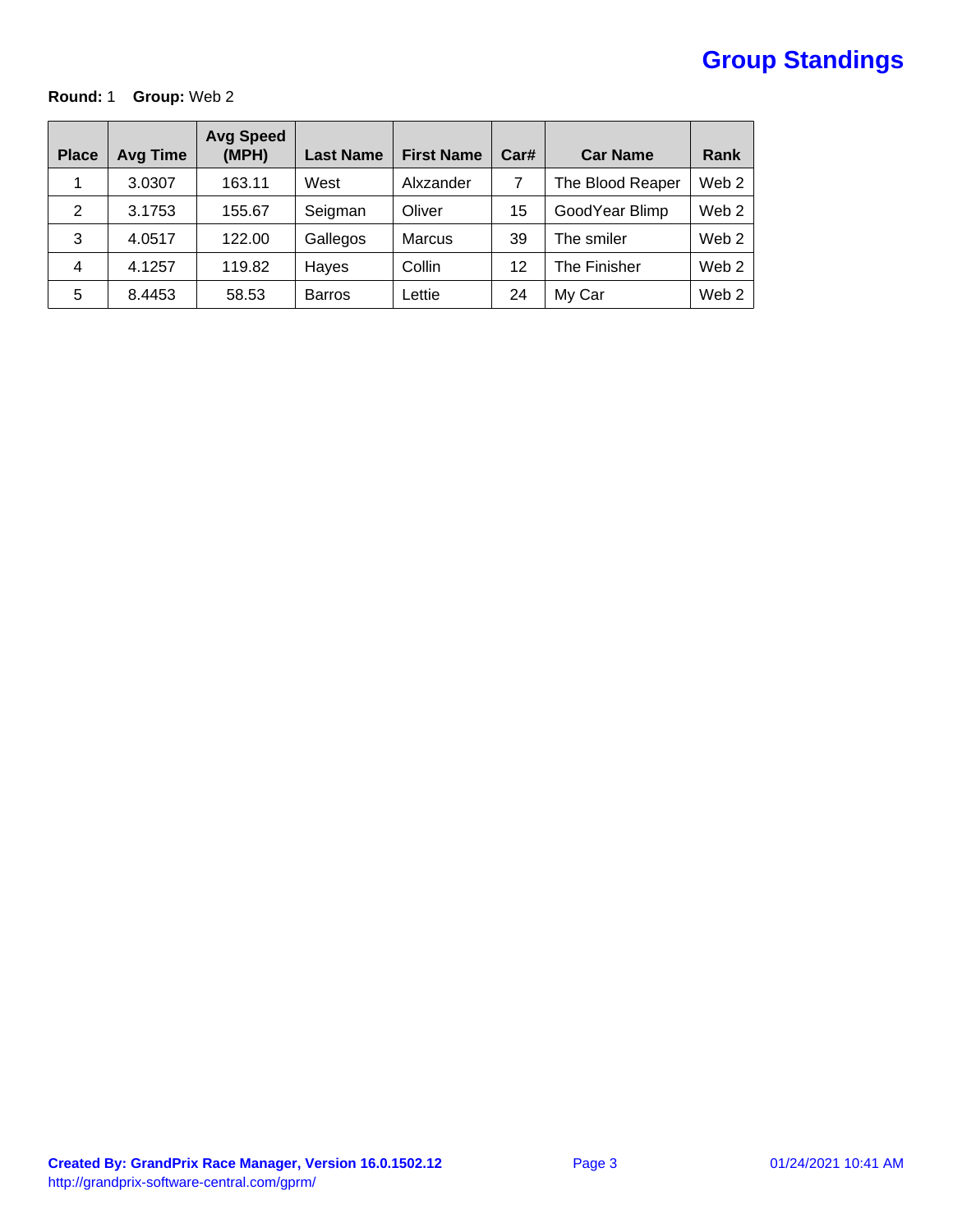# **Group Standings**

### **Round:** 1 **Group:** Web 2

| <b>Place</b>   | <b>Avg Time</b> | <b>Avg Speed</b><br>(MPH) | <b>Last Name</b> | <b>First Name</b> | Car# | <b>Car Name</b>  | Rank             |
|----------------|-----------------|---------------------------|------------------|-------------------|------|------------------|------------------|
|                | 3.0307          | 163.11                    | West             | Alxzander         | 7    | The Blood Reaper | Web <sub>2</sub> |
| 2              | 3.1753          | 155.67                    | Seigman          | Oliver            | 15   | GoodYear Blimp   | Web <sub>2</sub> |
| 3              | 4.0517          | 122.00                    | Gallegos         | <b>Marcus</b>     | 39   | The smiler       | Web <sub>2</sub> |
| $\overline{4}$ | 4.1257          | 119.82                    | Hayes            | Collin            | 12   | The Finisher     | Web <sub>2</sub> |
| 5              | 8.4453          | 58.53                     | <b>Barros</b>    | Lettie            | 24   | My Car           | Web <sub>2</sub> |